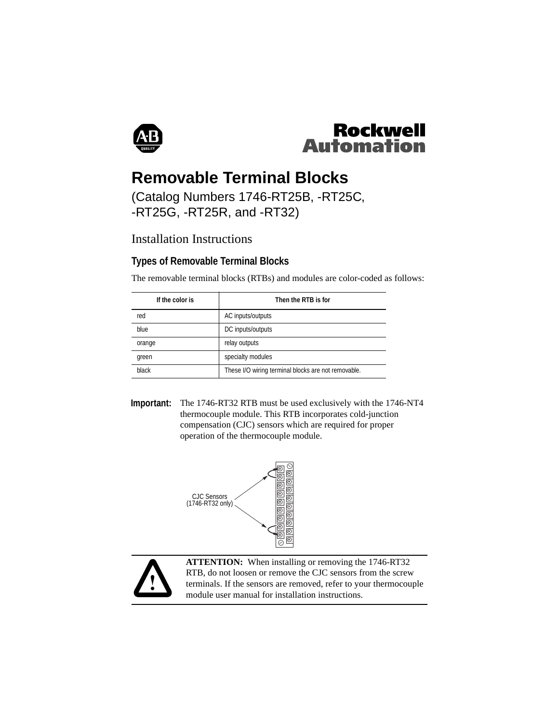



# **Removable Terminal Blocks**

## (Catalog Numbers 1746-RT25B, -RT25C, -RT25G, -RT25R, and -RT32)

# Installation Instructions

### **Types of Removable Terminal Blocks**

The removable terminal blocks (RTBs) and modules are color-coded as follows:

| If the color is | Then the RTB is for                                 |
|-----------------|-----------------------------------------------------|
| red             | AC inputs/outputs                                   |
| blue            | DC inputs/outputs                                   |
| orange          | relay outputs                                       |
| green           | specialty modules                                   |
| black           | These I/O wiring terminal blocks are not removable. |

**Important:** The 1746-RT32 RTB must be used exclusively with the 1746-NT4 thermocouple module. This RTB incorporates cold-junction compensation (CJC) sensors which are required for proper operation of the thermocouple module.





**ATTENTION:** When installing or removing the 1746-RT32 RTB, do not loosen or remove the CJC sensors from the screw terminals. If the sensors are removed, refer to your thermocouple module user manual for installation instructions.